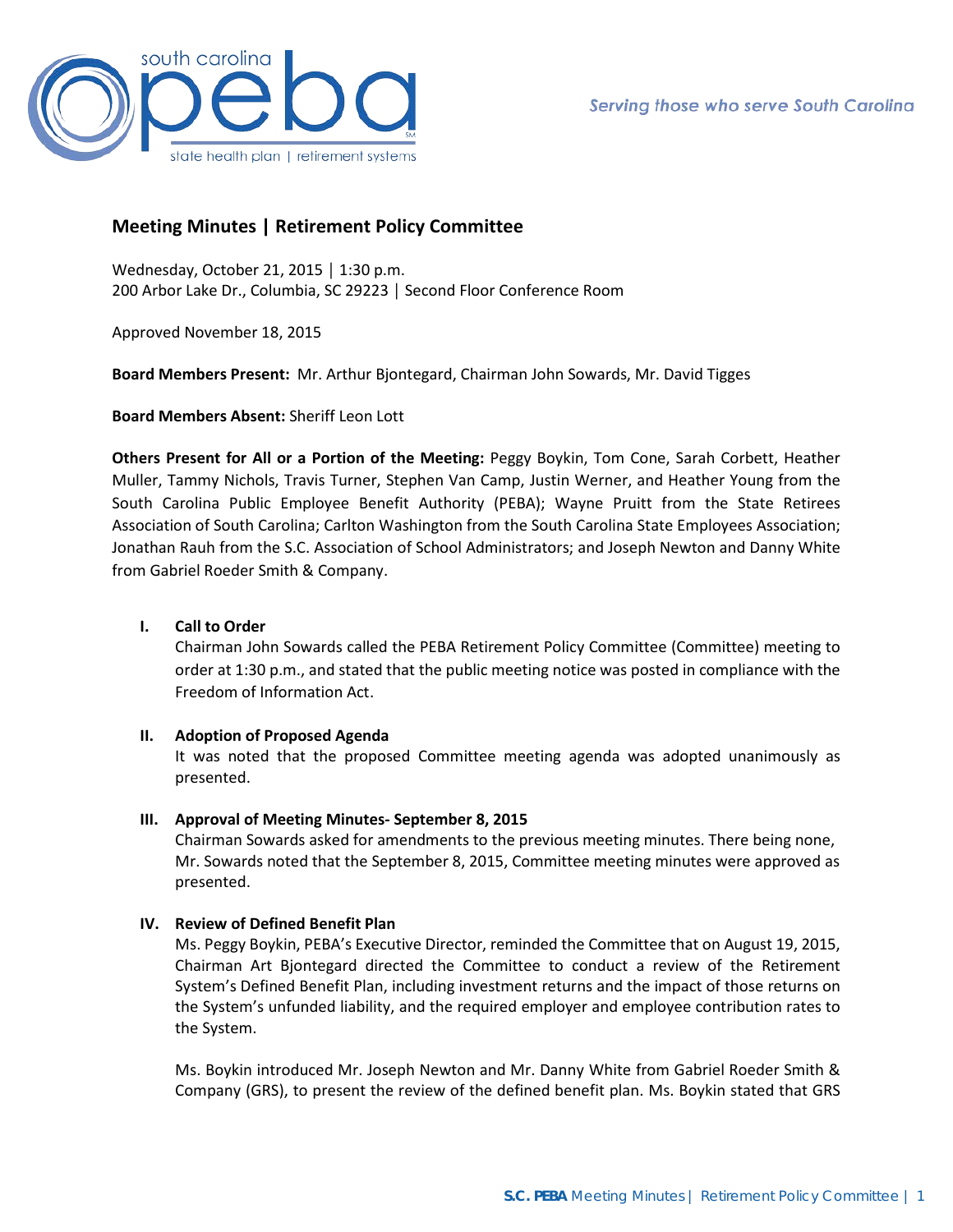

# **Meeting Minutes | Retirement Policy Committee**

Wednesday, October 21, 2015 │ 1:30 p.m. 200 Arbor Lake Dr., Columbia, SC 29223 │ Second Floor Conference Room

Approved November 18, 2015

**Board Members Present:** Mr. Arthur Bjontegard, Chairman John Sowards, Mr. David Tigges

**Board Members Absent:** Sheriff Leon Lott

**Others Present for All or a Portion of the Meeting:** Peggy Boykin, Tom Cone, Sarah Corbett, Heather Muller, Tammy Nichols, Travis Turner, Stephen Van Camp, Justin Werner, and Heather Young from the South Carolina Public Employee Benefit Authority (PEBA); Wayne Pruitt from the State Retirees Association of South Carolina; Carlton Washington from the South Carolina State Employees Association; Jonathan Rauh from the S.C. Association of School Administrators; and Joseph Newton and Danny White from Gabriel Roeder Smith & Company.

## **I. Call to Order**

Chairman John Sowards called the PEBA Retirement Policy Committee (Committee) meeting to order at 1:30 p.m., and stated that the public meeting notice was posted in compliance with the Freedom of Information Act.

### **II. Adoption of Proposed Agenda**

It was noted that the proposed Committee meeting agenda was adopted unanimously as presented.

### **III. Approval of Meeting Minutes- September 8, 2015**

Chairman Sowards asked for amendments to the previous meeting minutes. There being none, Mr. Sowards noted that the September 8, 2015, Committee meeting minutes were approved as presented.

### **IV. Review of Defined Benefit Plan**

Ms. Peggy Boykin, PEBA's Executive Director, reminded the Committee that on August 19, 2015, Chairman Art Bjontegard directed the Committee to conduct a review of the Retirement System's Defined Benefit Plan, including investment returns and the impact of those returns on the System's unfunded liability, and the required employer and employee contribution rates to the System.

Ms. Boykin introduced Mr. Joseph Newton and Mr. Danny White from Gabriel Roeder Smith & Company (GRS), to present the review of the defined benefit plan. Ms. Boykin stated that GRS